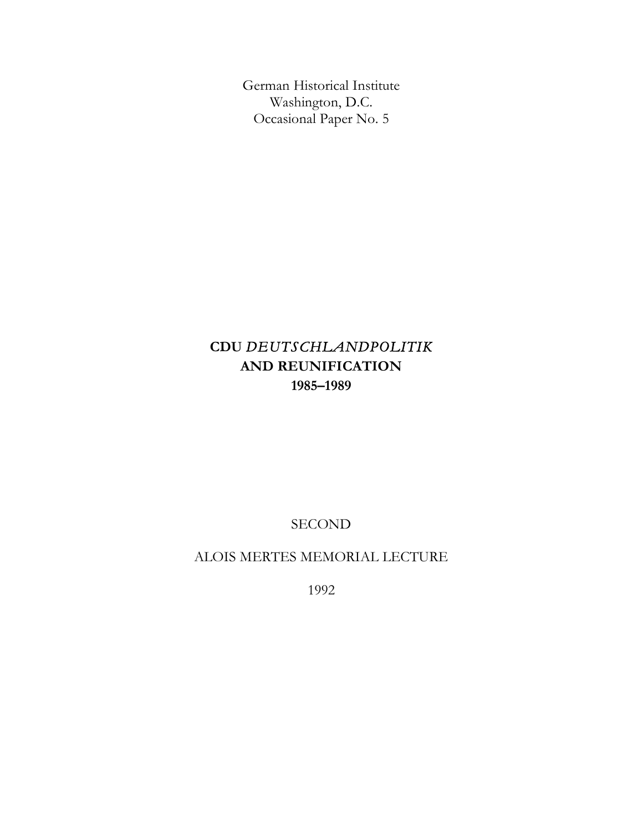German Historical Institute Washington, D.C. Occasional Paper No. 5

# **CDU** *DEUTSCHLANDPOLITIK*  **AND REUNIFICATION 1985–1989**

SECOND

ALOIS MERTES MEMORIAL LECTURE

1992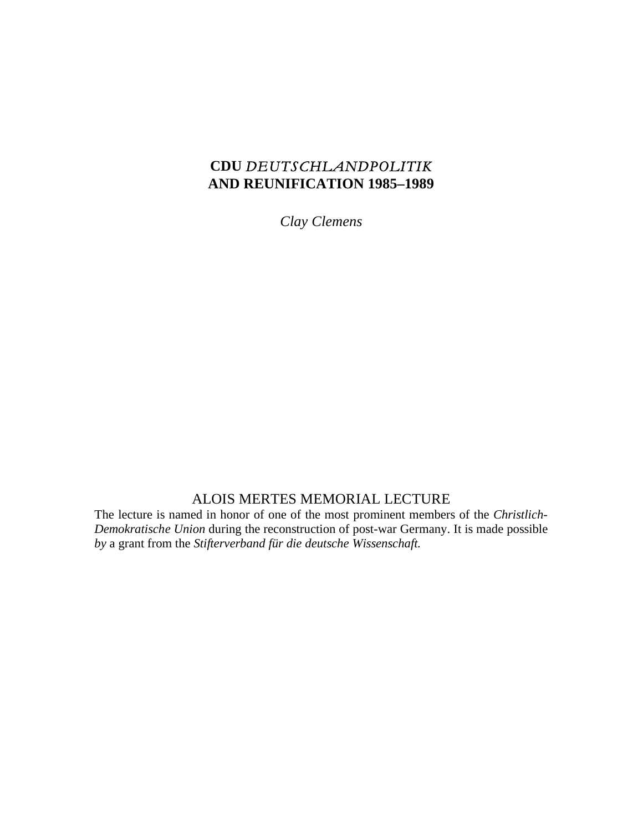## **CDU** *DEUTSCHLANDPOLITIK*  **AND REUNIFICATION 1985–1989**

*Clay Clemens* 

### ALOIS MERTES MEMORIAL LECTURE

The lecture is named in honor of one of the most prominent members of the *Christlich-Demokratische Union* during the reconstruction of post-war Germany. It is made possible *by* a grant from the *Stifterverband für die deutsche Wissenschaft.*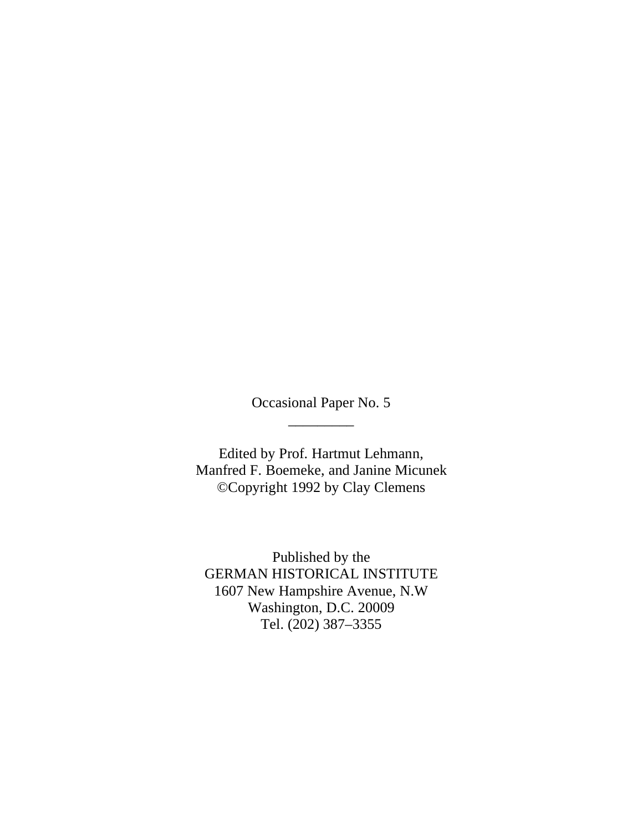Occasional Paper No. 5 \_\_\_\_\_\_\_\_\_

Edited by Prof. Hartmut Lehmann, Manfred F. Boemeke, and Janine Micunek ©Copyright 1992 by Clay Clemens

Published by the GERMAN HISTORICAL INSTITUTE 1607 New Hampshire Avenue, N.W Washington, D.C. 20009 Tel. (202) 387–3355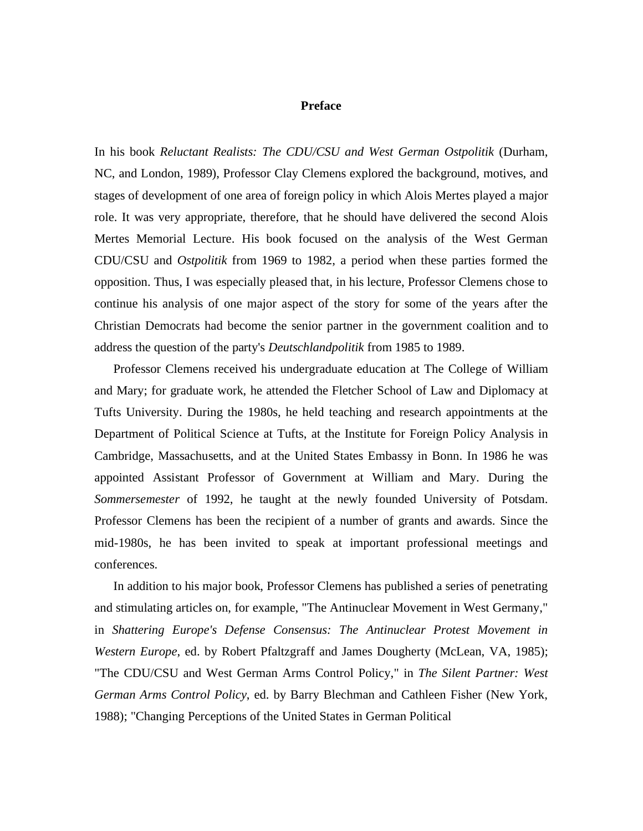#### **Preface**

In his book *Reluctant Realists: The CDU/CSU and West German Ostpolitik* (Durham, NC, and London, 1989), Professor Clay Clemens explored the background, motives, and stages of development of one area of foreign policy in which Alois Mertes played a major role. It was very appropriate, therefore, that he should have delivered the second Alois Mertes Memorial Lecture. His book focused on the analysis of the West German CDU/CSU and *Ostpolitik* from 1969 to 1982, a period when these parties formed the opposition. Thus, I was especially pleased that, in his lecture, Professor Clemens chose to continue his analysis of one major aspect of the story for some of the years after the Christian Democrats had become the senior partner in the government coalition and to address the question of the party's *Deutschlandpolitik* from 1985 to 1989.

Professor Clemens received his undergraduate education at The College of William and Mary; for graduate work, he attended the Fletcher School of Law and Diplomacy at Tufts University. During the 1980s, he held teaching and research appointments at the Department of Political Science at Tufts, at the Institute for Foreign Policy Analysis in Cambridge, Massachusetts, and at the United States Embassy in Bonn. In 1986 he was appointed Assistant Professor of Government at William and Mary. During the *Sommersemester* of 1992, he taught at the newly founded University of Potsdam. Professor Clemens has been the recipient of a number of grants and awards. Since the mid-1980s, he has been invited to speak at important professional meetings and conferences.

In addition to his major book, Professor Clemens has published a series of penetrating and stimulating articles on, for example, "The Antinuclear Movement in West Germany," in *Shattering Europe's Defense Consensus: The Antinuclear Protest Movement in Western Europe*, ed. by Robert Pfaltzgraff and James Dougherty (McLean, VA, 1985); "The CDU/CSU and West German Arms Control Policy," in *The Silent Partner: West German Arms Control Policy*, ed. by Barry Blechman and Cathleen Fisher (New York, 1988); "Changing Perceptions of the United States in German Political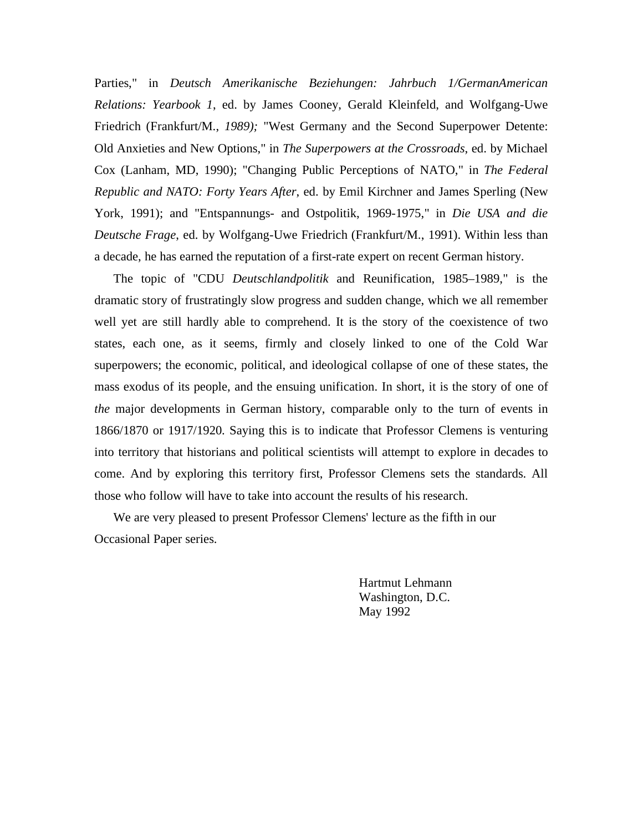Parties," in *Deutsch Amerikanische Beziehungen: Jahrbuch 1/GermanAmerican Relations: Yearbook 1*, ed. by James Cooney, Gerald Kleinfeld, and Wolfgang-Uwe Friedrich (Frankfurt/M., *1989);* "West Germany and the Second Superpower Detente: Old Anxieties and New Options," in *The Superpowers at the Crossroads*, ed. by Michael Cox (Lanham, MD, 1990); "Changing Public Perceptions of NATO," in *The Federal Republic and NATO: Forty Years After*, ed. by Emil Kirchner and James Sperling (New York, 1991); and "Entspannungs- and Ostpolitik, 1969-1975," in *Die USA and die Deutsche Frage*, ed. by Wolfgang-Uwe Friedrich (Frankfurt/M., 1991). Within less than a decade, he has earned the reputation of a first-rate expert on recent German history.

The topic of "CDU *Deutschlandpolitik* and Reunification, 1985–1989," is the dramatic story of frustratingly slow progress and sudden change, which we all remember well yet are still hardly able to comprehend. It is the story of the coexistence of two states, each one, as it seems, firmly and closely linked to one of the Cold War superpowers; the economic, political, and ideological collapse of one of these states, the mass exodus of its people, and the ensuing unification. In short, it is the story of one of *the* major developments in German history, comparable only to the turn of events in 1866/1870 or 1917/1920. Saying this is to indicate that Professor Clemens is venturing into territory that historians and political scientists will attempt to explore in decades to come. And by exploring this territory first, Professor Clemens sets the standards. All those who follow will have to take into account the results of his research.

We are very pleased to present Professor Clemens' lecture as the fifth in our Occasional Paper series.

> Hartmut Lehmann Washington, D.C. May 1992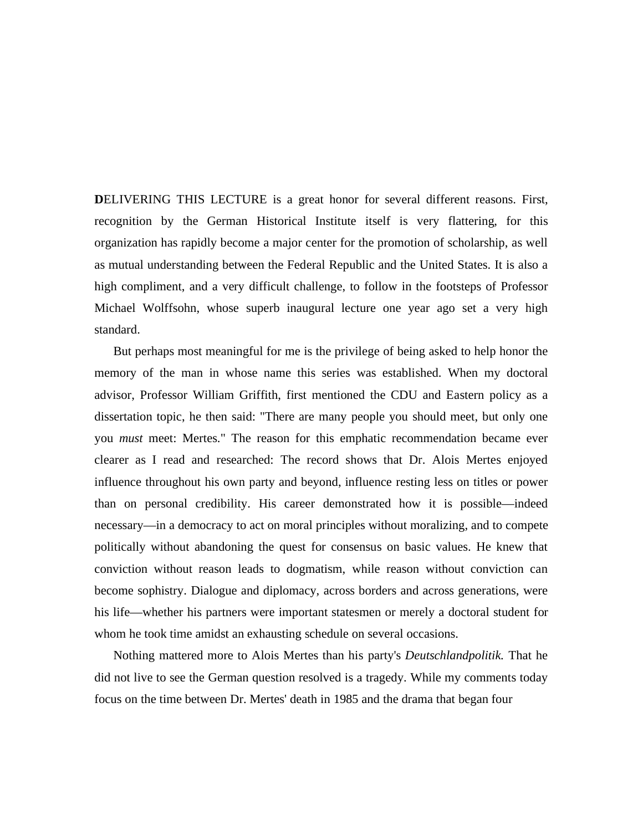**D**ELIVERING THIS LECTURE is a great honor for several different reasons. First, recognition by the German Historical Institute itself is very flattering, for this organization has rapidly become a major center for the promotion of scholarship, as well as mutual understanding between the Federal Republic and the United States. It is also a high compliment, and a very difficult challenge, to follow in the footsteps of Professor Michael Wolffsohn, whose superb inaugural lecture one year ago set a very high standard.

But perhaps most meaningful for me is the privilege of being asked to help honor the memory of the man in whose name this series was established. When my doctoral advisor, Professor William Griffith, first mentioned the CDU and Eastern policy as a dissertation topic, he then said: "There are many people you should meet, but only one you *must* meet: Mertes." The reason for this emphatic recommendation became ever clearer as I read and researched: The record shows that Dr. Alois Mertes enjoyed influence throughout his own party and beyond, influence resting less on titles or power than on personal credibility. His career demonstrated how it is possible—indeed necessary—in a democracy to act on moral principles without moralizing, and to compete politically without abandoning the quest for consensus on basic values. He knew that conviction without reason leads to dogmatism, while reason without conviction can become sophistry. Dialogue and diplomacy, across borders and across generations, were his life—whether his partners were important statesmen or merely a doctoral student for whom he took time amidst an exhausting schedule on several occasions.

Nothing mattered more to Alois Mertes than his party's *Deutschlandpolitik.* That he did not live to see the German question resolved is a tragedy. While my comments today focus on the time between Dr. Mertes' death in 1985 and the drama that began four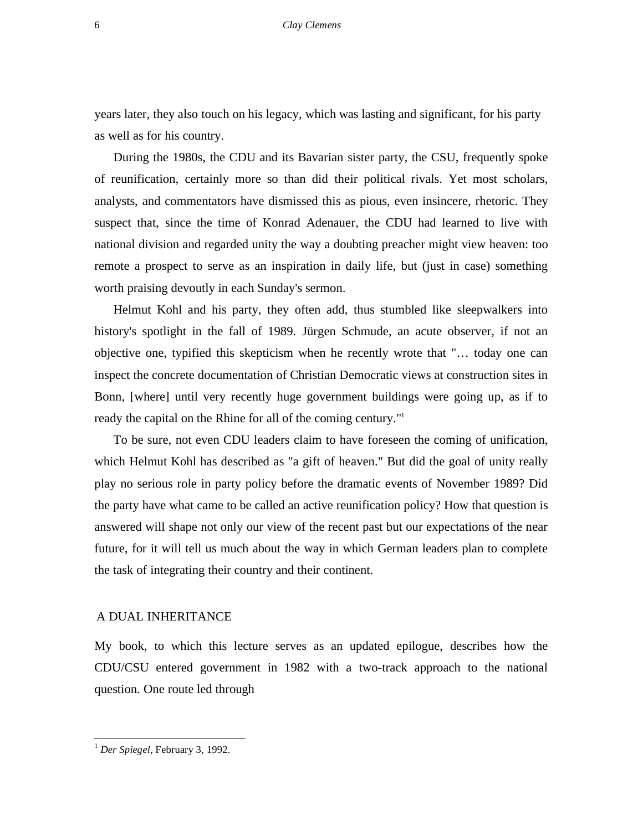years later, they also touch on his legacy, which was lasting and significant, for his party as well as for his country.

During the 1980s, the CDU and its Bavarian sister party, the CSU, frequently spoke of reunification, certainly more so than did their political rivals. Yet most scholars, analysts, and commentators have dismissed this as pious, even insincere, rhetoric. They suspect that, since the time of Konrad Adenauer, the CDU had learned to live with national division and regarded unity the way a doubting preacher might view heaven: too remote a prospect to serve as an inspiration in daily life, but (just in case) something worth praising devoutly in each Sunday's sermon.

Helmut Kohl and his party, they often add, thus stumbled like sleepwalkers into history's spotlight in the fall of 1989. Jürgen Schmude, an acute observer, if not an objective one, typified this skepticism when he recently wrote that "… today one can inspect the concrete documentation of Christian Democratic views at construction sites in Bonn, [where] until very recently huge government buildings were going up, as if to ready the capital on the Rhine for all of the coming century."

To be sure, not even CDU leaders claim to have foreseen the coming of unification, which Helmut Kohl has described as "a gift of heaven." But did the goal of unity really play no serious role in party policy before the dramatic events of November 1989? Did the party have what came to be called an active reunification policy? How that question is answered will shape not only our view of the recent past but our expectations of the near future, for it will tell us much about the way in which German leaders plan to complete the task of integrating their country and their continent.

#### A DUAL INHERITANCE

My book, to which this lecture serves as an updated epilogue, describes how the CDU/CSU entered government in 1982 with a two-track approach to the national question. One route led through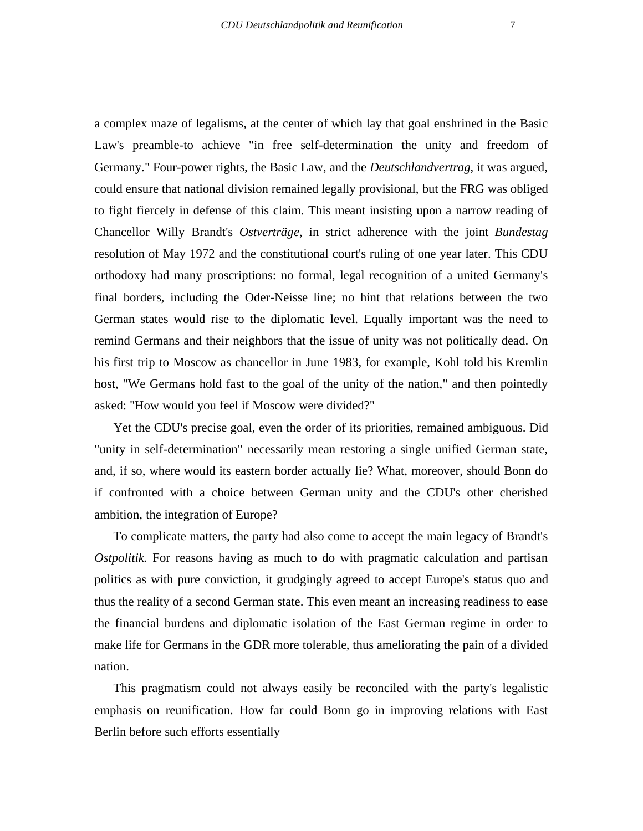a complex maze of legalisms, at the center of which lay that goal enshrined in the Basic Law's preamble-to achieve "in free self-determination the unity and freedom of Germany." Four-power rights, the Basic Law, and the *Deutschlandvertrag*, it was argued, could ensure that national division remained legally provisional, but the FRG was obliged to fight fiercely in defense of this claim. This meant insisting upon a narrow reading of Chancellor Willy Brandt's *Ostverträge*, in strict adherence with the joint *Bundestag*  resolution of May 1972 and the constitutional court's ruling of one year later. This CDU orthodoxy had many proscriptions: no formal, legal recognition of a united Germany's final borders, including the Oder-Neisse line; no hint that relations between the two German states would rise to the diplomatic level. Equally important was the need to remind Germans and their neighbors that the issue of unity was not politically dead. On his first trip to Moscow as chancellor in June 1983, for example, Kohl told his Kremlin host, "We Germans hold fast to the goal of the unity of the nation," and then pointedly asked: "How would you feel if Moscow were divided?"

Yet the CDU's precise goal, even the order of its priorities, remained ambiguous. Did "unity in self-determination" necessarily mean restoring a single unified German state, and, if so, where would its eastern border actually lie? What, moreover, should Bonn do if confronted with a choice between German unity and the CDU's other cherished ambition, the integration of Europe?

To complicate matters, the party had also come to accept the main legacy of Brandt's *Ostpolitik*. For reasons having as much to do with pragmatic calculation and partisan politics as with pure conviction, it grudgingly agreed to accept Europe's status quo and thus the reality of a second German state. This even meant an increasing readiness to ease the financial burdens and diplomatic isolation of the East German regime in order to make life for Germans in the GDR more tolerable, thus ameliorating the pain of a divided nation.

This pragmatism could not always easily be reconciled with the party's legalistic emphasis on reunification. How far could Bonn go in improving relations with East Berlin before such efforts essentially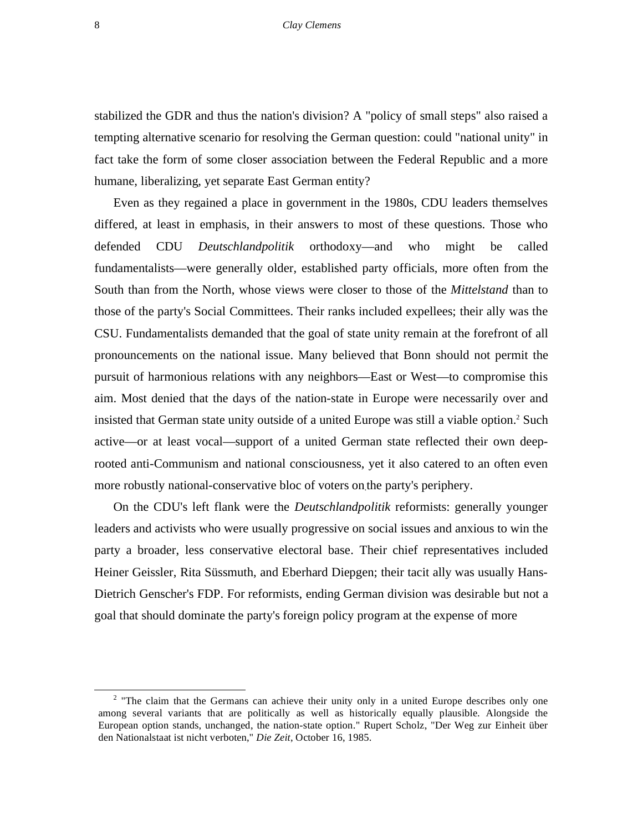stabilized the GDR and thus the nation's division? A "policy of small steps" also raised a tempting alternative scenario for resolving the German question: could "national unity" in fact take the form of some closer association between the Federal Republic and a more humane, liberalizing, yet separate East German entity?

Even as they regained a place in government in the 1980s, CDU leaders themselves differed, at least in emphasis, in their answers to most of these questions. Those who defended CDU *Deutschlandpolitik* orthodoxy—and who might be called fundamentalists—were generally older, established party officials, more often from the South than from the North, whose views were closer to those of the *Mittelstand* than to those of the party's Social Committees. Their ranks included expellees; their ally was the CSU. Fundamentalists demanded that the goal of state unity remain at the forefront of all pronouncements on the national issue. Many believed that Bonn should not permit the pursuit of harmonious relations with any neighbors—East or West—to compromise this aim. Most denied that the days of the nation-state in Europe were necessarily over and insisted that German state unity outside of a united Europe was still a viable option.<sup>2</sup> Such active—or at least vocal—support of a united German state reflected their own deeprooted anti-Communism and national consciousness, yet it also catered to an often even more robustly national-conservative bloc of voters on.the party's periphery.

On the CDU's left flank were the *Deutschlandpolitik* reformists: generally younger leaders and activists who were usually progressive on social issues and anxious to win the party a broader, less conservative electoral base. Their chief representatives included Heiner Geissler, Rita Süssmuth, and Eberhard Diepgen; their tacit ally was usually Hans-Dietrich Genscher's FDP. For reformists, ending German division was desirable but not a goal that should dominate the party's foreign policy program at the expense of more

 <sup>2</sup>  $2$  "The claim that the Germans can achieve their unity only in a united Europe describes only one among several variants that are politically as well as historically equally plausible. Alongside the European option stands, unchanged, the nation-state option." Rupert Scholz, "Der Weg zur Einheit über den Nationalstaat ist nicht verboten," *Die Zeit*, October 16, 1985.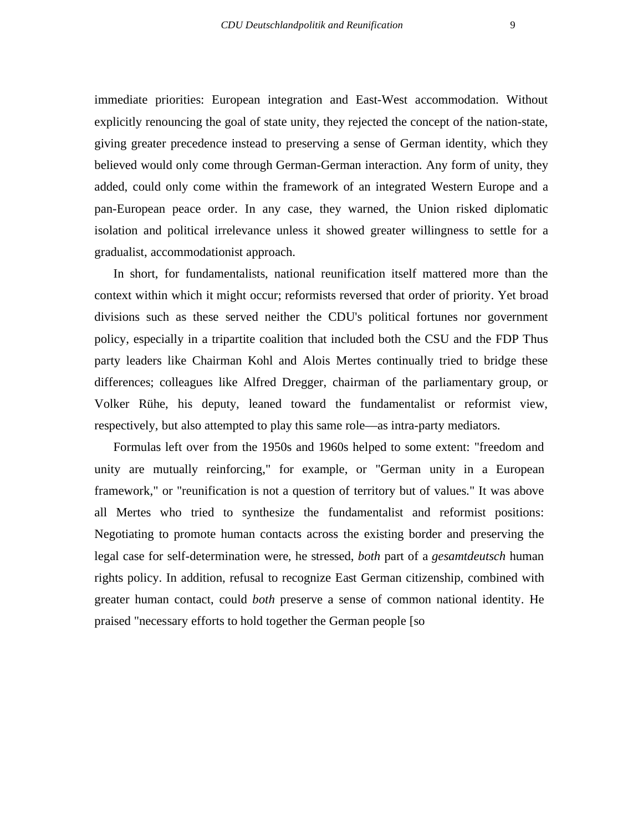immediate priorities: European integration and East-West accommodation. Without explicitly renouncing the goal of state unity, they rejected the concept of the nation-state, giving greater precedence instead to preserving a sense of German identity, which they believed would only come through German-German interaction. Any form of unity, they added, could only come within the framework of an integrated Western Europe and a pan-European peace order. In any case, they warned, the Union risked diplomatic isolation and political irrelevance unless it showed greater willingness to settle for a gradualist, accommodationist approach.

In short, for fundamentalists, national reunification itself mattered more than the context within which it might occur; reformists reversed that order of priority. Yet broad divisions such as these served neither the CDU's political fortunes nor government policy, especially in a tripartite coalition that included both the CSU and the FDP Thus party leaders like Chairman Kohl and Alois Mertes continually tried to bridge these differences; colleagues like Alfred Dregger, chairman of the parliamentary group, or Volker Rühe, his deputy, leaned toward the fundamentalist or reformist view, respectively, but also attempted to play this same role—as intra-party mediators.

Formulas left over from the 1950s and 1960s helped to some extent: "freedom and unity are mutually reinforcing," for example, or "German unity in a European framework," or "reunification is not a question of territory but of values." It was above all Mertes who tried to synthesize the fundamentalist and reformist positions: Negotiating to promote human contacts across the existing border and preserving the legal case for self-determination were, he stressed, *both* part of a *gesamtdeutsch* human rights policy. In addition, refusal to recognize East German citizenship, combined with greater human contact, could *both* preserve a sense of common national identity. He praised "necessary efforts to hold together the German people [so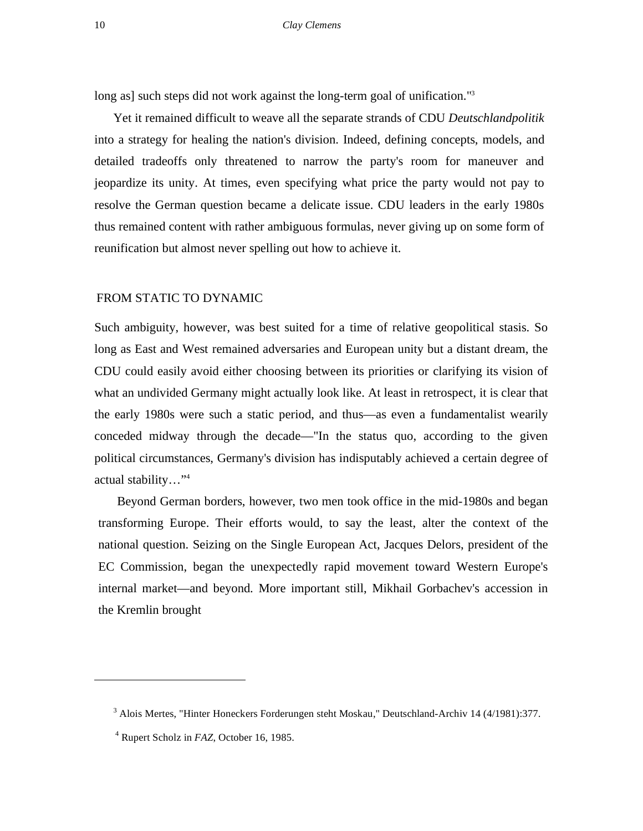long as] such steps did not work against the long-term goal of unification."<sup>3</sup>

Yet it remained difficult to weave all the separate strands of CDU *Deutschlandpolitik*  into a strategy for healing the nation's division. Indeed, defining concepts, models, and detailed tradeoffs only threatened to narrow the party's room for maneuver and jeopardize its unity. At times, even specifying what price the party would not pay to resolve the German question became a delicate issue. CDU leaders in the early 1980s thus remained content with rather ambiguous formulas, never giving up on some form of reunification but almost never spelling out how to achieve it.

#### FROM STATIC TO DYNAMIC

Such ambiguity, however, was best suited for a time of relative geopolitical stasis. So long as East and West remained adversaries and European unity but a distant dream, the CDU could easily avoid either choosing between its priorities or clarifying its vision of what an undivided Germany might actually look like. At least in retrospect, it is clear that the early 1980s were such a static period, and thus—as even a fundamentalist wearily conceded midway through the decade—"In the status quo, according to the given political circumstances, Germany's division has indisputably achieved a certain degree of actual stability…"4

Beyond German borders, however, two men took office in the mid-1980s and began transforming Europe. Their efforts would, to say the least, alter the context of the national question. Seizing on the Single European Act, Jacques Delors, president of the EC Commission, began the unexpectedly rapid movement toward Western Europe's internal market—and beyond. More important still, Mikhail Gorbachev's accession in the Kremlin brought

<sup>&</sup>lt;sup>3</sup> Alois Mertes, "Hinter Honeckers Forderungen steht Moskau," Deutschland-Archiv 14 (4/1981):377.

<sup>4</sup> Rupert Scholz in *FAZ*, October 16, 1985.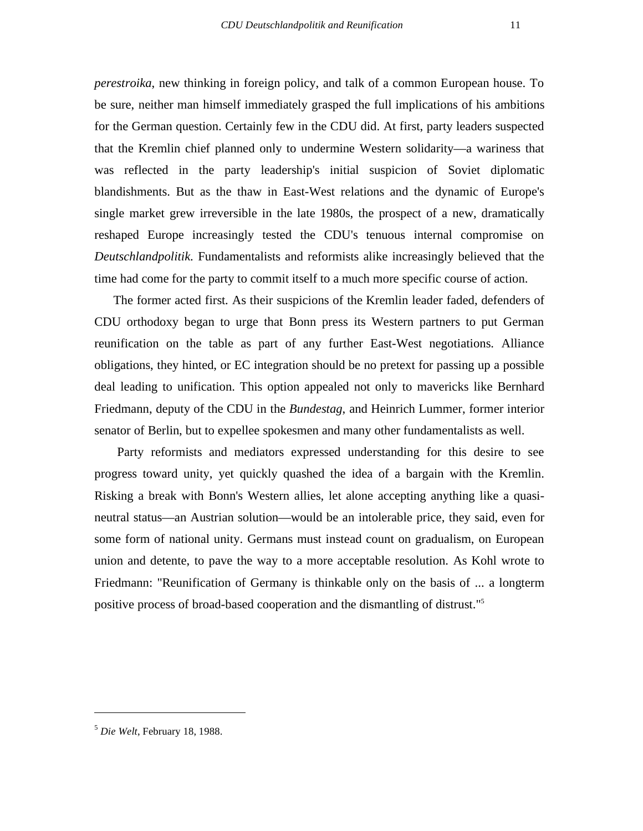*perestroika*, new thinking in foreign policy, and talk of a common European house. To be sure, neither man himself immediately grasped the full implications of his ambitions

for the German question. Certainly few in the CDU did. At first, party leaders suspected that the Kremlin chief planned only to undermine Western solidarity—a wariness that was reflected in the party leadership's initial suspicion of Soviet diplomatic blandishments. But as the thaw in East-West relations and the dynamic of Europe's single market grew irreversible in the late 1980s, the prospect of a new, dramatically reshaped Europe increasingly tested the CDU's tenuous internal compromise on *Deutschlandpolitik*. Fundamentalists and reformists alike increasingly believed that the time had come for the party to commit itself to a much more specific course of action.

The former acted first. As their suspicions of the Kremlin leader faded, defenders of CDU orthodoxy began to urge that Bonn press its Western partners to put German reunification on the table as part of any further East-West negotiations. Alliance obligations, they hinted, or EC integration should be no pretext for passing up a possible deal leading to unification. This option appealed not only to mavericks like Bernhard Friedmann, deputy of the CDU in the *Bundestag*, and Heinrich Lummer, former interior senator of Berlin, but to expellee spokesmen and many other fundamentalists as well.

Party reformists and mediators expressed understanding for this desire to see progress toward unity, yet quickly quashed the idea of a bargain with the Kremlin. Risking a break with Bonn's Western allies, let alone accepting anything like a quasineutral status—an Austrian solution—would be an intolerable price, they said, even for some form of national unity. Germans must instead count on gradualism, on European union and detente, to pave the way to a more acceptable resolution. As Kohl wrote to Friedmann: "Reunification of Germany is thinkable only on the basis of ... a longterm positive process of broad-based cooperation and the dismantling of distrust."5

<sup>5</sup> *Die Welt*, February 18, 1988.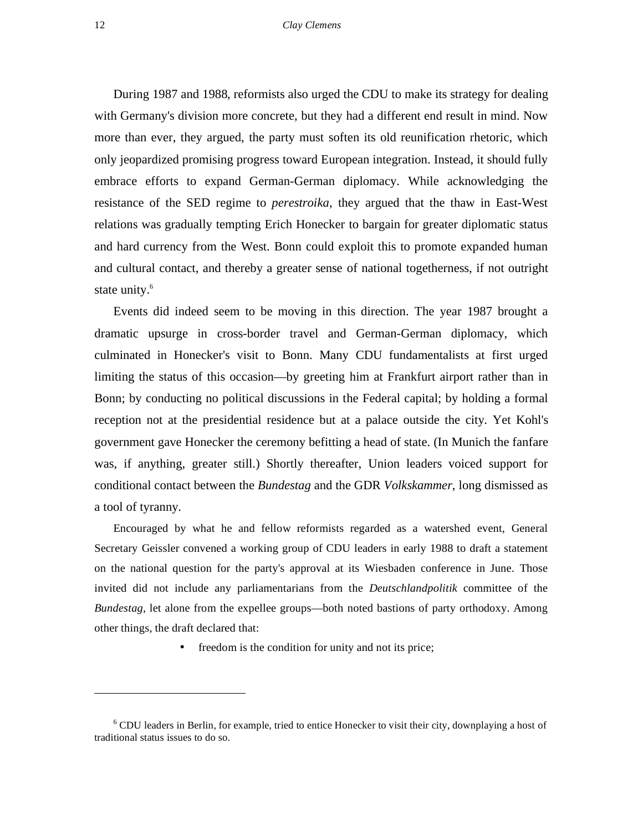#### 12 *Clay Clemens*

During 1987 and 1988, reformists also urged the CDU to make its strategy for dealing with Germany's division more concrete, but they had a different end result in mind. Now more than ever, they argued, the party must soften its old reunification rhetoric, which only jeopardized promising progress toward European integration. Instead, it should fully embrace efforts to expand German-German diplomacy. While acknowledging the resistance of the SED regime to *perestroika*, they argued that the thaw in East-West relations was gradually tempting Erich Honecker to bargain for greater diplomatic status and hard currency from the West. Bonn could exploit this to promote expanded human and cultural contact, and thereby a greater sense of national togetherness, if not outright state unity.<sup>6</sup>

Events did indeed seem to be moving in this direction. The year 1987 brought a dramatic upsurge in cross-border travel and German-German diplomacy, which culminated in Honecker's visit to Bonn. Many CDU fundamentalists at first urged limiting the status of this occasion—by greeting him at Frankfurt airport rather than in Bonn; by conducting no political discussions in the Federal capital; by holding a formal reception not at the presidential residence but at a palace outside the city. Yet Kohl's government gave Honecker the ceremony befitting a head of state. (In Munich the fanfare was, if anything, greater still.) Shortly thereafter, Union leaders voiced support for conditional contact between the *Bundestag* and the GDR *Volkskammer*, long dismissed as a tool of tyranny.

Encouraged by what he and fellow reformists regarded as a watershed event, General Secretary Geissler convened a working group of CDU leaders in early 1988 to draft a statement on the national question for the party's approval at its Wiesbaden conference in June. Those invited did not include any parliamentarians from the *Deutschlandpolitik* committee of the *Bundestag*, let alone from the expellee groups—both noted bastions of party orthodoxy. Among other things, the draft declared that:

• freedom is the condition for unity and not its price;

<sup>&</sup>lt;sup>6</sup> CDU leaders in Berlin, for example, tried to entice Honecker to visit their city, downplaying a host of traditional status issues to do so.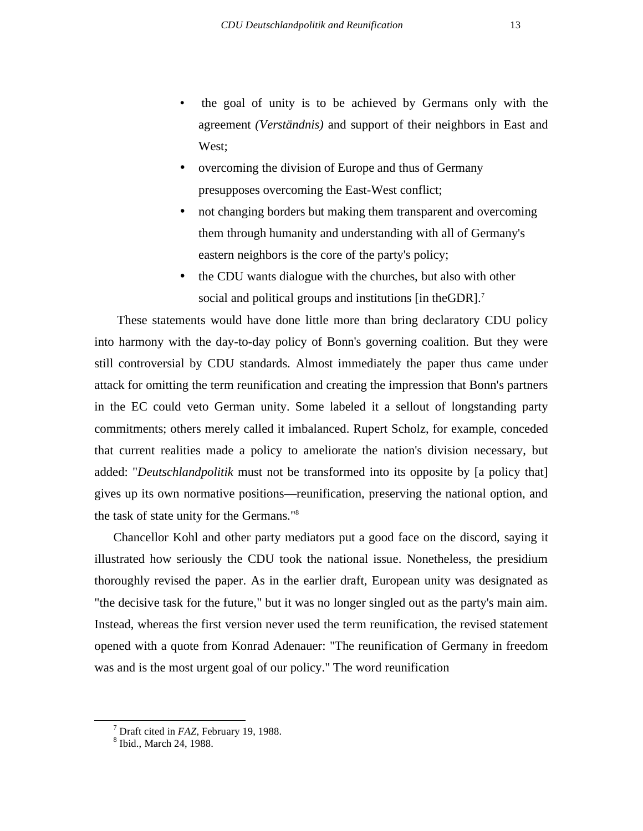- the goal of unity is to be achieved by Germans only with the agreement *(Verständnis)* and support of their neighbors in East and West;
- overcoming the division of Europe and thus of Germany presupposes overcoming the East-West conflict;
- not changing borders but making them transparent and overcoming them through humanity and understanding with all of Germany's eastern neighbors is the core of the party's policy;
- the CDU wants dialogue with the churches, but also with other social and political groups and institutions [in the GDR].<sup>7</sup>

These statements would have done little more than bring declaratory CDU policy into harmony with the day-to-day policy of Bonn's governing coalition. But they were still controversial by CDU standards. Almost immediately the paper thus came under attack for omitting the term reunification and creating the impression that Bonn's partners in the EC could veto German unity. Some labeled it a sellout of longstanding party commitments; others merely called it imbalanced. Rupert Scholz, for example, conceded that current realities made a policy to ameliorate the nation's division necessary, but added: "*Deutschlandpolitik* must not be transformed into its opposite by [a policy that] gives up its own normative positions—reunification, preserving the national option, and the task of state unity for the Germans."8

Chancellor Kohl and other party mediators put a good face on the discord, saying it illustrated how seriously the CDU took the national issue. Nonetheless, the presidium thoroughly revised the paper. As in the earlier draft, European unity was designated as "the decisive task for the future," but it was no longer singled out as the party's main aim. Instead, whereas the first version never used the term reunification, the revised statement opened with a quote from Konrad Adenauer: "The reunification of Germany in freedom was and is the most urgent goal of our policy." The word reunification

 $\frac{1}{7}$  $<sup>7</sup>$  Draft cited in *FAZ*, February 19, 1988.</sup>

<sup>&</sup>lt;sup>8</sup> Ibid., March 24, 1988.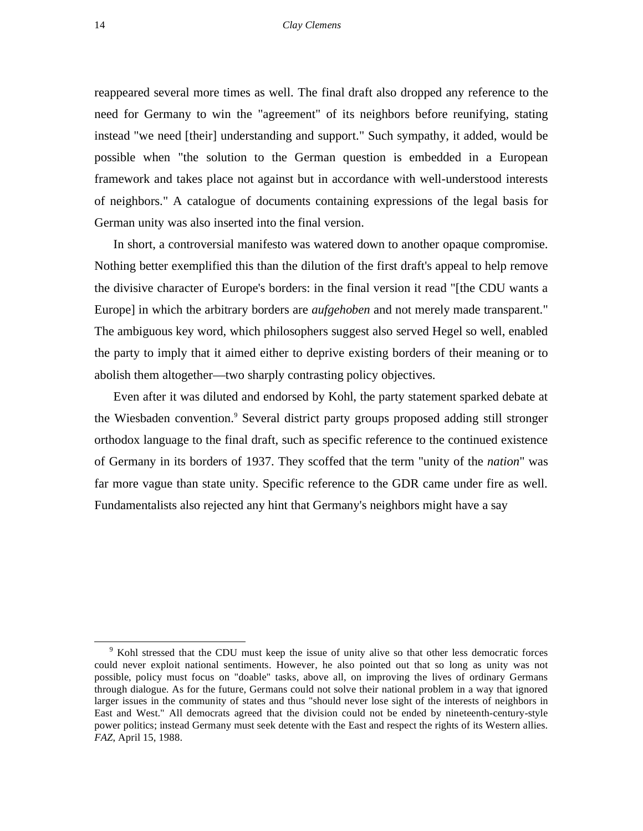reappeared several more times as well. The final draft also dropped any reference to the need for Germany to win the "agreement" of its neighbors before reunifying, stating instead "we need [their] understanding and support." Such sympathy, it added, would be possible when "the solution to the German question is embedded in a European framework and takes place not against but in accordance with well-understood interests of neighbors." A catalogue of documents containing expressions of the legal basis for German unity was also inserted into the final version.

In short, a controversial manifesto was watered down to another opaque compromise. Nothing better exemplified this than the dilution of the first draft's appeal to help remove the divisive character of Europe's borders: in the final version it read "[the CDU wants a Europe] in which the arbitrary borders are *aufgehoben* and not merely made transparent." The ambiguous key word, which philosophers suggest also served Hegel so well, enabled the party to imply that it aimed either to deprive existing borders of their meaning or to abolish them altogether—two sharply contrasting policy objectives.

Even after it was diluted and endorsed by Kohl, the party statement sparked debate at the Wiesbaden convention.<sup>9</sup> Several district party groups proposed adding still stronger orthodox language to the final draft, such as specific reference to the continued existence of Germany in its borders of 1937. They scoffed that the term "unity of the *nation*" was far more vague than state unity. Specific reference to the GDR came under fire as well. Fundamentalists also rejected any hint that Germany's neighbors might have a say

<sup>&</sup>lt;sup>9</sup> Kohl stressed that the CDU must keep the issue of unity alive so that other less democratic forces could never exploit national sentiments. However, he also pointed out that so long as unity was not possible, policy must focus on "doable" tasks, above all, on improving the lives of ordinary Germans through dialogue. As for the future, Germans could not solve their national problem in a way that ignored larger issues in the community of states and thus "should never lose sight of the interests of neighbors in East and West." All democrats agreed that the division could not be ended by nineteenth-century-style power politics; instead Germany must seek detente with the East and respect the rights of its Western allies. *FAZ*, April 15, 1988.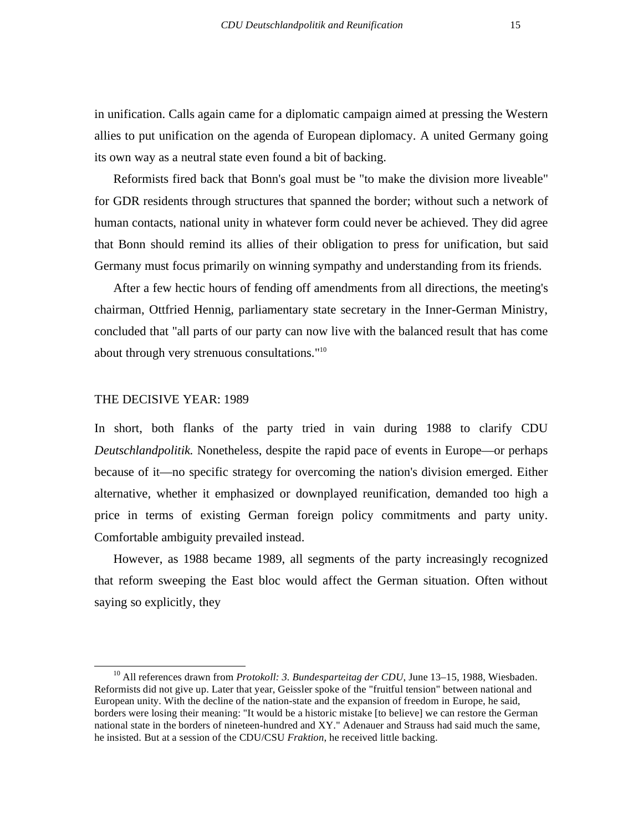in unification. Calls again came for a diplomatic campaign aimed at pressing the Western allies to put unification on the agenda of European diplomacy. A united Germany going its own way as a neutral state even found a bit of backing.

Reformists fired back that Bonn's goal must be "to make the division more liveable" for GDR residents through structures that spanned the border; without such a network of human contacts, national unity in whatever form could never be achieved. They did agree that Bonn should remind its allies of their obligation to press for unification, but said Germany must focus primarily on winning sympathy and understanding from its friends.

After a few hectic hours of fending off amendments from all directions, the meeting's chairman, Ottfried Hennig, parliamentary state secretary in the Inner-German Ministry, concluded that "all parts of our party can now live with the balanced result that has come about through very strenuous consultations."10

#### THE DECISIVE YEAR: 1989

In short, both flanks of the party tried in vain during 1988 to clarify CDU *Deutschlandpolitik.* Nonetheless, despite the rapid pace of events in Europe—or perhaps because of it—no specific strategy for overcoming the nation's division emerged. Either alternative, whether it emphasized or downplayed reunification, demanded too high a price in terms of existing German foreign policy commitments and party unity. Comfortable ambiguity prevailed instead.

However, as 1988 became 1989, all segments of the party increasingly recognized that reform sweeping the East bloc would affect the German situation. Often without saying so explicitly, they

<sup>&</sup>lt;sup>10</sup> All references drawn from *Protokoll: 3. Bundesparteitag der CDU*, June 13–15, 1988, Wiesbaden. Reformists did not give up. Later that year, Geissler spoke of the "fruitful tension" between national and European unity. With the decline of the nation-state and the expansion of freedom in Europe, he said, borders were losing their meaning: "It would be a historic mistake [to believe] we can restore the German national state in the borders of nineteen-hundred and XY." Adenauer and Strauss had said much the same, he insisted. But at a session of the CDU/CSU *Fraktion*, he received little backing.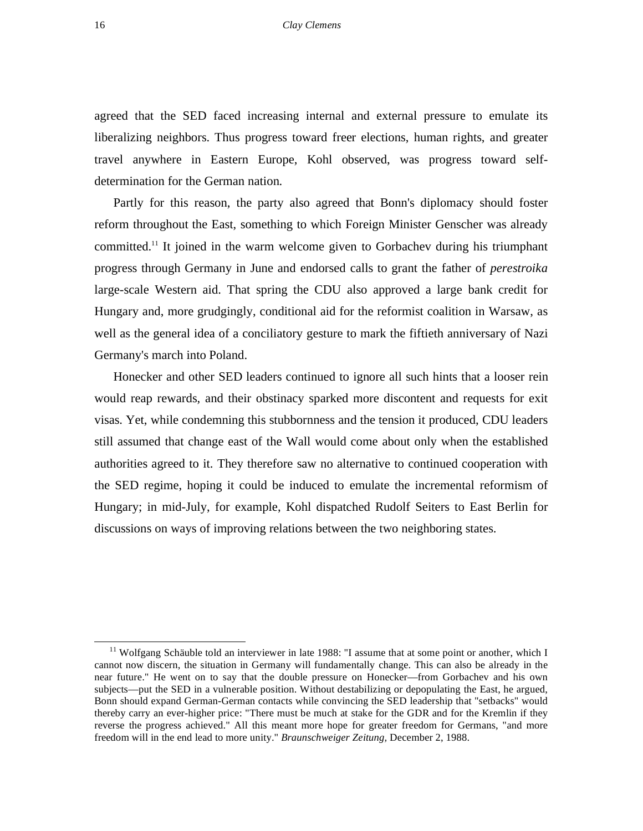agreed that the SED faced increasing internal and external pressure to emulate its liberalizing neighbors. Thus progress toward freer elections, human rights, and greater travel anywhere in Eastern Europe, Kohl observed, was progress toward selfdetermination for the German nation.

Partly for this reason, the party also agreed that Bonn's diplomacy should foster reform throughout the East, something to which Foreign Minister Genscher was already committed.11 It joined in the warm welcome given to Gorbachev during his triumphant progress through Germany in June and endorsed calls to grant the father of *perestroika*  large-scale Western aid. That spring the CDU also approved a large bank credit for Hungary and, more grudgingly, conditional aid for the reformist coalition in Warsaw, as well as the general idea of a conciliatory gesture to mark the fiftieth anniversary of Nazi Germany's march into Poland.

Honecker and other SED leaders continued to ignore all such hints that a looser rein would reap rewards, and their obstinacy sparked more discontent and requests for exit visas. Yet, while condemning this stubbornness and the tension it produced, CDU leaders still assumed that change east of the Wall would come about only when the established authorities agreed to it. They therefore saw no alternative to continued cooperation with the SED regime, hoping it could be induced to emulate the incremental reformism of Hungary; in mid-July, for example, Kohl dispatched Rudolf Seiters to East Berlin for discussions on ways of improving relations between the two neighboring states.

<sup>&</sup>lt;sup>11</sup> Wolfgang Schäuble told an interviewer in late 1988: "I assume that at some point or another, which I cannot now discern, the situation in Germany will fundamentally change. This can also be already in the near future." He went on to say that the double pressure on Honecker—from Gorbachev and his own subjects—put the SED in a vulnerable position. Without destabilizing or depopulating the East, he argued, Bonn should expand German-German contacts while convincing the SED leadership that "setbacks" would thereby carry an ever-higher price: "There must be much at stake for the GDR and for the Kremlin if they reverse the progress achieved." All this meant more hope for greater freedom for Germans, "and more freedom will in the end lead to more unity." *Braunschweiger Zeitung,* December 2, 1988.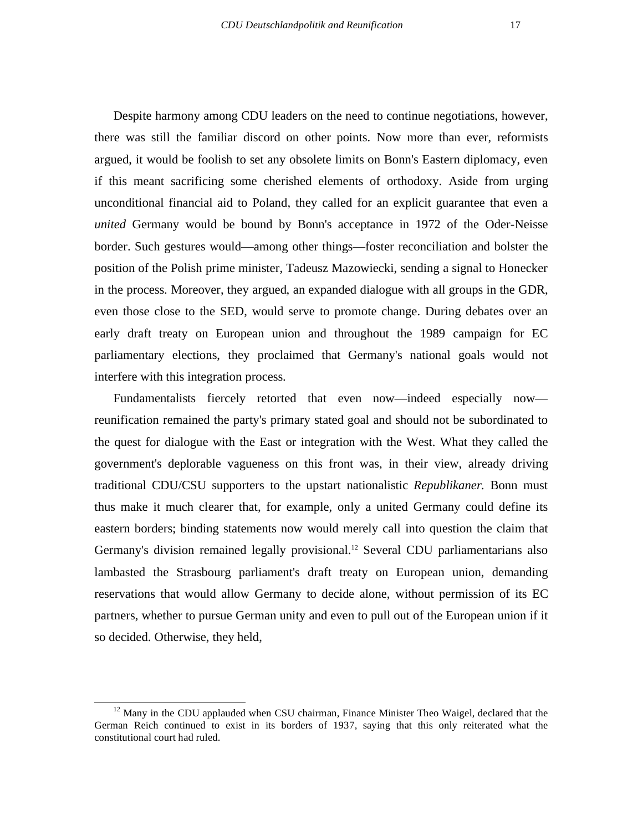Despite harmony among CDU leaders on the need to continue negotiations, however, there was still the familiar discord on other points. Now more than ever, reformists argued, it would be foolish to set any obsolete limits on Bonn's Eastern diplomacy, even if this meant sacrificing some cherished elements of orthodoxy. Aside from urging unconditional financial aid to Poland, they called for an explicit guarantee that even a *united* Germany would be bound by Bonn's acceptance in 1972 of the Oder-Neisse border. Such gestures would—among other things—foster reconciliation and bolster the position of the Polish prime minister, Tadeusz Mazowiecki, sending a signal to Honecker in the process. Moreover, they argued, an expanded dialogue with all groups in the GDR, even those close to the SED, would serve to promote change. During debates over an early draft treaty on European union and throughout the 1989 campaign for EC parliamentary elections, they proclaimed that Germany's national goals would not interfere with this integration process.

Fundamentalists fiercely retorted that even now—indeed especially now reunification remained the party's primary stated goal and should not be subordinated to the quest for dialogue with the East or integration with the West. What they called the government's deplorable vagueness on this front was, in their view, already driving traditional CDU/CSU supporters to the upstart nationalistic *Republikaner.* Bonn must thus make it much clearer that, for example, only a united Germany could define its eastern borders; binding statements now would merely call into question the claim that Germany's division remained legally provisional.<sup>12</sup> Several CDU parliamentarians also lambasted the Strasbourg parliament's draft treaty on European union, demanding reservations that would allow Germany to decide alone, without permission of its EC partners, whether to pursue German unity and even to pull out of the European union if it so decided. Otherwise, they held,

 $12$  Many in the CDU applauded when CSU chairman, Finance Minister Theo Waigel, declared that the German Reich continued to exist in its borders of 1937, saying that this only reiterated what the constitutional court had ruled.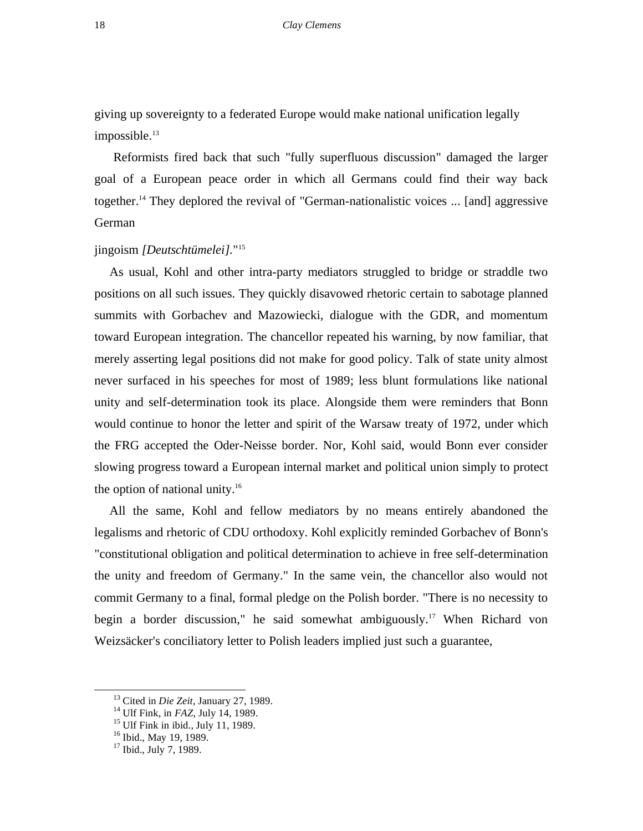giving up sovereignty to a federated Europe would make national unification legally  $impossible.<sup>13</sup>$ 

Reformists fired back that such "fully superfluous discussion" damaged the larger goal of a European peace order in which all Germans could find their way back together.<sup>14</sup> They deplored the revival of "German-nationalistic voices ... [and] aggressive German

### jingoism *[Deutschtümelei].*"15

As usual, Kohl and other intra-party mediators struggled to bridge or straddle two positions on all such issues. They quickly disavowed rhetoric certain to sabotage planned summits with Gorbachev and Mazowiecki, dialogue with the GDR, and momentum toward European integration. The chancellor repeated his warning, by now familiar, that merely asserting legal positions did not make for good policy. Talk of state unity almost never surfaced in his speeches for most of 1989; less blunt formulations like national unity and self-determination took its place. Alongside them were reminders that Bonn would continue to honor the letter and spirit of the Warsaw treaty of 1972, under which the FRG accepted the Oder-Neisse border. Nor, Kohl said, would Bonn ever consider slowing progress toward a European internal market and political union simply to protect the option of national unity. $16$ 

All the same, Kohl and fellow mediators by no means entirely abandoned the legalisms and rhetoric of CDU orthodoxy. Kohl explicitly reminded Gorbachev of Bonn's "constitutional obligation and political determination to achieve in free self-determination the unity and freedom of Germany." In the same vein, the chancellor also would not commit Germany to a final, formal pledge on the Polish border. "There is no necessity to begin a border discussion," he said somewhat ambiguously.17 When Richard von Weizsäcker's conciliatory letter to Polish leaders implied just such a guarantee,

<sup>&</sup>lt;sup>13</sup> Cited in *Die Zeit*, January 27, 1989.<br><sup>14</sup> Ulf Fink, in *FAZ*, July 14, 1989.<br><sup>15</sup> Ulf Fink in ibid., July 11, 1989.

<sup>&</sup>lt;sup>16</sup> Ibid., May 19, 1989.

 $17$  Ibid., July 7, 1989.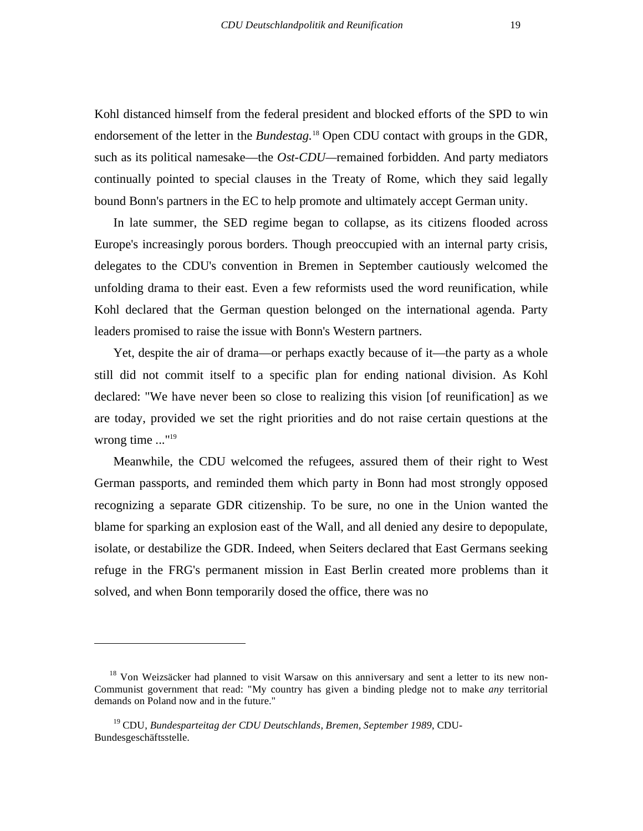Kohl distanced himself from the federal president and blocked efforts of the SPD to win endorsement of the letter in the *Bundestag.*<sup>18</sup> Open CDU contact with groups in the GDR, such as its political namesake—the *Ost-CDU—*remained forbidden. And party mediators continually pointed to special clauses in the Treaty of Rome, which they said legally bound Bonn's partners in the EC to help promote and ultimately accept German unity.

In late summer, the SED regime began to collapse, as its citizens flooded across Europe's increasingly porous borders. Though preoccupied with an internal party crisis, delegates to the CDU's convention in Bremen in September cautiously welcomed the unfolding drama to their east. Even a few reformists used the word reunification, while Kohl declared that the German question belonged on the international agenda. Party leaders promised to raise the issue with Bonn's Western partners.

Yet, despite the air of drama—or perhaps exactly because of it—the party as a whole still did not commit itself to a specific plan for ending national division. As Kohl declared: "We have never been so close to realizing this vision [of reunification] as we are today, provided we set the right priorities and do not raise certain questions at the wrong time ..."<sup>19</sup>

Meanwhile, the CDU welcomed the refugees, assured them of their right to West German passports, and reminded them which party in Bonn had most strongly opposed recognizing a separate GDR citizenship. To be sure, no one in the Union wanted the blame for sparking an explosion east of the Wall, and all denied any desire to depopulate, isolate, or destabilize the GDR. Indeed, when Seiters declared that East Germans seeking refuge in the FRG's permanent mission in East Berlin created more problems than it solved, and when Bonn temporarily dosed the office, there was no

<sup>&</sup>lt;sup>18</sup> Von Weizsäcker had planned to visit Warsaw on this anniversary and sent a letter to its new non-Communist government that read: "My country has given a binding pledge not to make *any* territorial demands on Poland now and in the future."

<sup>19</sup> CDU, *Bundesparteitag der CDU Deutschlands, Bremen, September 1989*, CDU-Bundesgeschäftsstelle.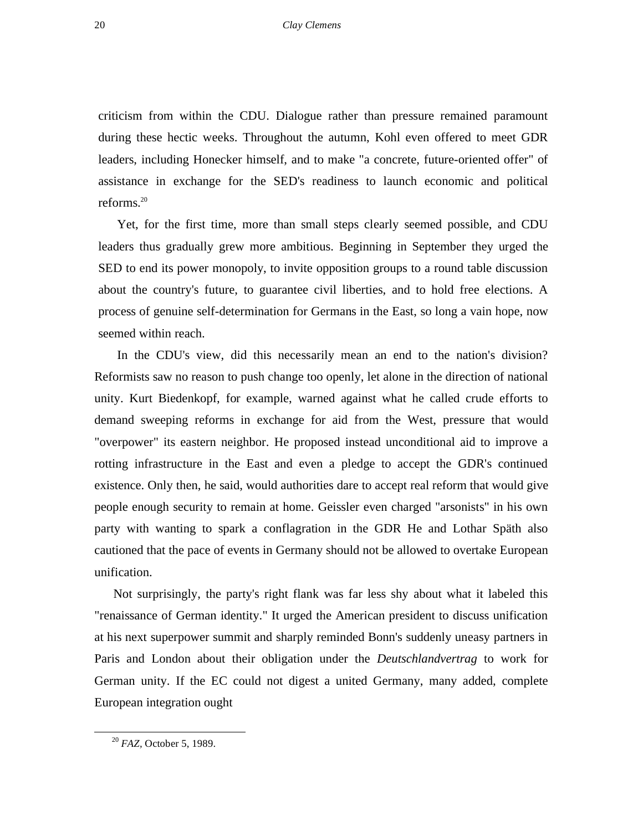criticism from within the CDU. Dialogue rather than pressure remained paramount during these hectic weeks. Throughout the autumn, Kohl even offered to meet GDR leaders, including Honecker himself, and to make "a concrete, future-oriented offer" of assistance in exchange for the SED's readiness to launch economic and political reforms.20

Yet, for the first time, more than small steps clearly seemed possible, and CDU leaders thus gradually grew more ambitious. Beginning in September they urged the SED to end its power monopoly, to invite opposition groups to a round table discussion about the country's future, to guarantee civil liberties, and to hold free elections. A process of genuine self-determination for Germans in the East, so long a vain hope, now seemed within reach.

In the CDU's view, did this necessarily mean an end to the nation's division? Reformists saw no reason to push change too openly, let alone in the direction of national unity. Kurt Biedenkopf, for example, warned against what he called crude efforts to demand sweeping reforms in exchange for aid from the West, pressure that would "overpower" its eastern neighbor. He proposed instead unconditional aid to improve a rotting infrastructure in the East and even a pledge to accept the GDR's continued existence. Only then, he said, would authorities dare to accept real reform that would give people enough security to remain at home. Geissler even charged "arsonists" in his own party with wanting to spark a conflagration in the GDR He and Lothar Späth also cautioned that the pace of events in Germany should not be allowed to overtake European unification.

Not surprisingly, the party's right flank was far less shy about what it labeled this "renaissance of German identity." It urged the American president to discuss unification at his next superpower summit and sharply reminded Bonn's suddenly uneasy partners in Paris and London about their obligation under the *Deutschlandvertrag* to work for German unity. If the EC could not digest a united Germany, many added, complete European integration ought

 <sup>20</sup> *FAZ,* October 5, 1989.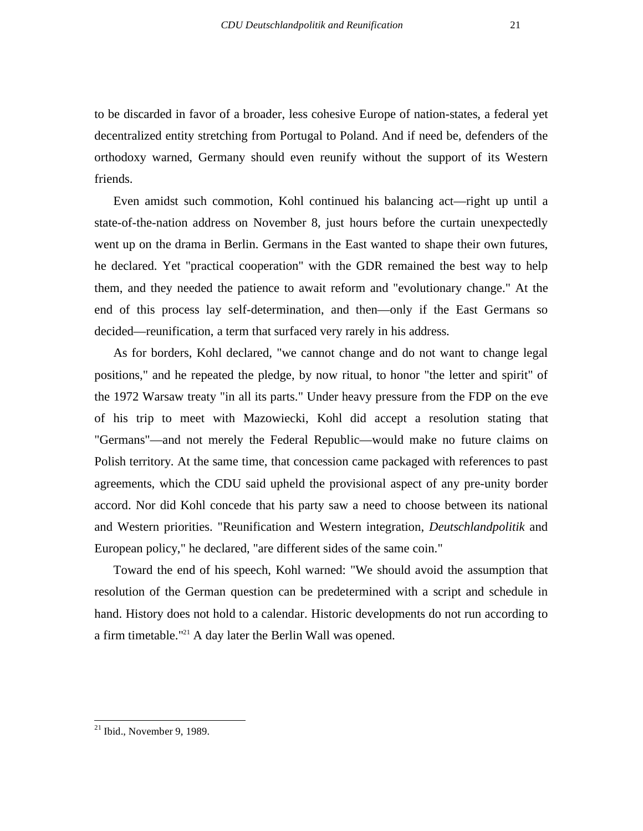to be discarded in favor of a broader, less cohesive Europe of nation-states, a federal yet decentralized entity stretching from Portugal to Poland. And if need be, defenders of the orthodoxy warned, Germany should even reunify without the support of its Western friends.

Even amidst such commotion, Kohl continued his balancing act—right up until a state-of-the-nation address on November 8, just hours before the curtain unexpectedly went up on the drama in Berlin. Germans in the East wanted to shape their own futures, he declared. Yet "practical cooperation" with the GDR remained the best way to help them, and they needed the patience to await reform and "evolutionary change." At the end of this process lay self-determination, and then—only if the East Germans so decided—reunification, a term that surfaced very rarely in his address.

As for borders, Kohl declared, "we cannot change and do not want to change legal positions," and he repeated the pledge, by now ritual, to honor "the letter and spirit" of the 1972 Warsaw treaty "in all its parts." Under heavy pressure from the FDP on the eve of his trip to meet with Mazowiecki, Kohl did accept a resolution stating that "Germans"—and not merely the Federal Republic—would make no future claims on Polish territory. At the same time, that concession came packaged with references to past agreements, which the CDU said upheld the provisional aspect of any pre-unity border accord. Nor did Kohl concede that his party saw a need to choose between its national and Western priorities. "Reunification and Western integration, *Deutschlandpolitik* and European policy," he declared, "are different sides of the same coin."

Toward the end of his speech, Kohl warned: "We should avoid the assumption that resolution of the German question can be predetermined with a script and schedule in hand. History does not hold to a calendar. Historic developments do not run according to a firm timetable."<sup>21</sup> A day later the Berlin Wall was opened.

 $^{21}$  Ibid., November 9, 1989.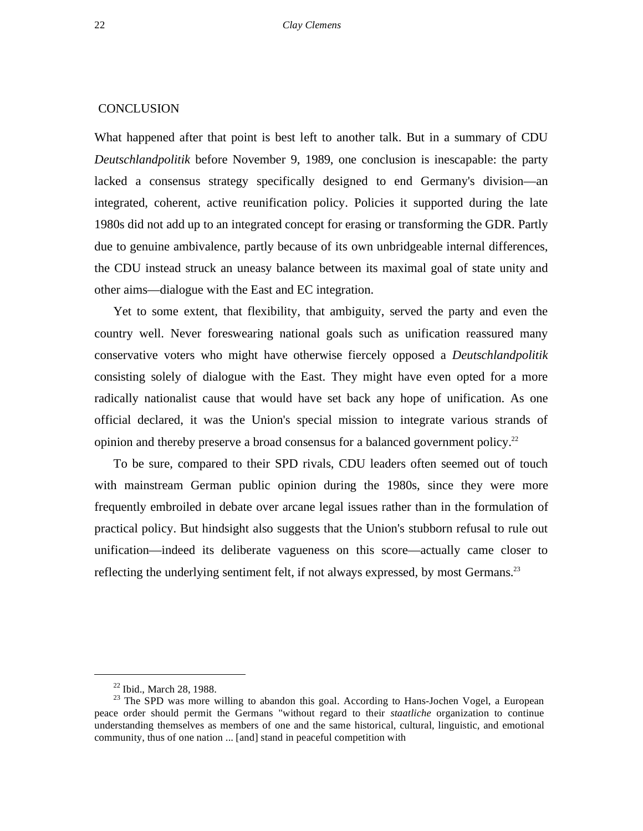#### **CONCLUSION**

What happened after that point is best left to another talk. But in a summary of CDU *Deutschlandpolitik* before November 9, 1989, one conclusion is inescapable: the party lacked a consensus strategy specifically designed to end Germany's division—an integrated, coherent, active reunification policy. Policies it supported during the late 1980s did not add up to an integrated concept for erasing or transforming the GDR. Partly due to genuine ambivalence, partly because of its own unbridgeable internal differences, the CDU instead struck an uneasy balance between its maximal goal of state unity and other aims—dialogue with the East and EC integration.

Yet to some extent, that flexibility, that ambiguity, served the party and even the country well. Never foreswearing national goals such as unification reassured many conservative voters who might have otherwise fiercely opposed a *Deutschlandpolitik*  consisting solely of dialogue with the East. They might have even opted for a more radically nationalist cause that would have set back any hope of unification. As one official declared, it was the Union's special mission to integrate various strands of opinion and thereby preserve a broad consensus for a balanced government policy.<sup>22</sup>

To be sure, compared to their SPD rivals, CDU leaders often seemed out of touch with mainstream German public opinion during the 1980s, since they were more frequently embroiled in debate over arcane legal issues rather than in the formulation of practical policy. But hindsight also suggests that the Union's stubborn refusal to rule out unification—indeed its deliberate vagueness on this score—actually came closer to reflecting the underlying sentiment felt, if not always expressed, by most Germans.<sup>23</sup>

 $22$  Ibid., March 28, 1988.

<sup>&</sup>lt;sup>23</sup> The SPD was more willing to abandon this goal. According to Hans-Jochen Vogel, a European peace order should permit the Germans "without regard to their *staatliche* organization to continue understanding themselves as members of one and the same historical, cultural, linguistic, and emotional community, thus of one nation ... [and] stand in peaceful competition with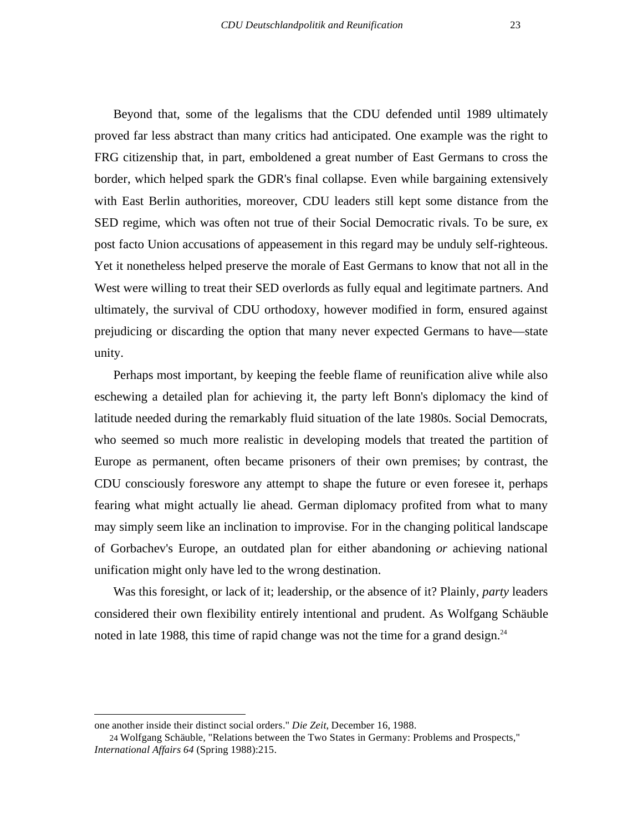Beyond that, some of the legalisms that the CDU defended until 1989 ultimately proved far less abstract than many critics had anticipated. One example was the right to FRG citizenship that, in part, emboldened a great number of East Germans to cross the border, which helped spark the GDR's final collapse. Even while bargaining extensively with East Berlin authorities, moreover, CDU leaders still kept some distance from the SED regime, which was often not true of their Social Democratic rivals. To be sure, ex post facto Union accusations of appeasement in this regard may be unduly self-righteous. Yet it nonetheless helped preserve the morale of East Germans to know that not all in the West were willing to treat their SED overlords as fully equal and legitimate partners. And ultimately, the survival of CDU orthodoxy, however modified in form, ensured against prejudicing or discarding the option that many never expected Germans to have—state unity.

Perhaps most important, by keeping the feeble flame of reunification alive while also eschewing a detailed plan for achieving it, the party left Bonn's diplomacy the kind of latitude needed during the remarkably fluid situation of the late 1980s. Social Democrats, who seemed so much more realistic in developing models that treated the partition of Europe as permanent, often became prisoners of their own premises; by contrast, the CDU consciously foreswore any attempt to shape the future or even foresee it, perhaps fearing what might actually lie ahead. German diplomacy profited from what to many may simply seem like an inclination to improvise. For in the changing political landscape of Gorbachev's Europe, an outdated plan for either abandoning *or* achieving national unification might only have led to the wrong destination.

Was this foresight, or lack of it; leadership, or the absence of it? Plainly, *party* leaders considered their own flexibility entirely intentional and prudent. As Wolfgang Schäuble noted in late 1988, this time of rapid change was not the time for a grand design.<sup>24</sup>

one another inside their distinct social orders." *Die Zeit*, December 16, 1988.

<sup>24</sup> Wolfgang Schäuble, "Relations between the Two States in Germany: Problems and Prospects," *International Affairs 64* (Spring 1988):215.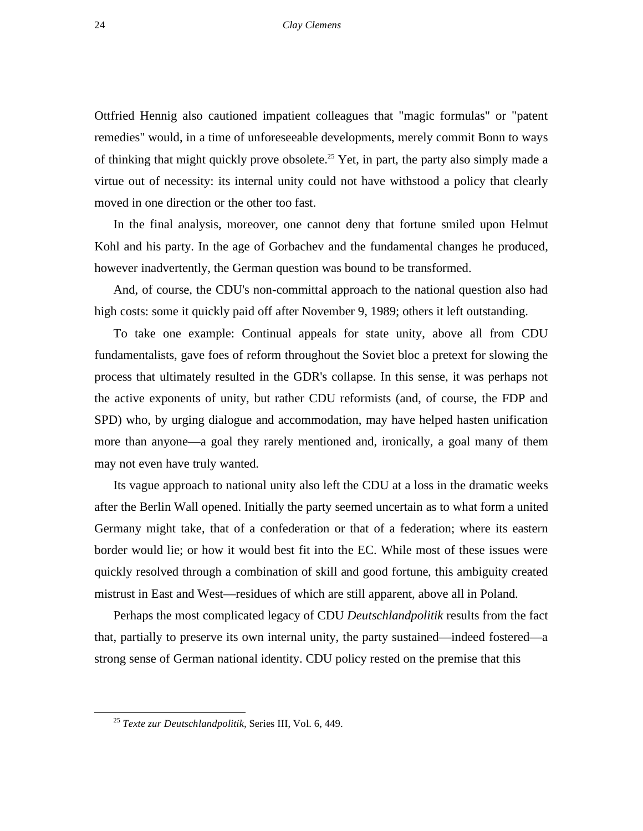Ottfried Hennig also cautioned impatient colleagues that "magic formulas" or "patent remedies" would, in a time of unforeseeable developments, merely commit Bonn to ways of thinking that might quickly prove obsolete.<sup>25</sup> Yet, in part, the party also simply made a virtue out of necessity: its internal unity could not have withstood a policy that clearly moved in one direction or the other too fast.

In the final analysis, moreover, one cannot deny that fortune smiled upon Helmut Kohl and his party. In the age of Gorbachev and the fundamental changes he produced, however inadvertently, the German question was bound to be transformed.

And, of course, the CDU's non-committal approach to the national question also had high costs: some it quickly paid off after November 9, 1989; others it left outstanding.

To take one example: Continual appeals for state unity, above all from CDU fundamentalists, gave foes of reform throughout the Soviet bloc a pretext for slowing the process that ultimately resulted in the GDR's collapse. In this sense, it was perhaps not the active exponents of unity, but rather CDU reformists (and, of course, the FDP and SPD) who, by urging dialogue and accommodation, may have helped hasten unification more than anyone—a goal they rarely mentioned and, ironically, a goal many of them may not even have truly wanted.

Its vague approach to national unity also left the CDU at a loss in the dramatic weeks after the Berlin Wall opened. Initially the party seemed uncertain as to what form a united Germany might take, that of a confederation or that of a federation; where its eastern border would lie; or how it would best fit into the EC. While most of these issues were quickly resolved through a combination of skill and good fortune, this ambiguity created mistrust in East and West—residues of which are still apparent, above all in Poland.

Perhaps the most complicated legacy of CDU *Deutschlandpolitik* results from the fact that, partially to preserve its own internal unity, the party sustained—indeed fostered—a strong sense of German national identity. CDU policy rested on the premise that this

 <sup>25</sup> *Texte zur Deutschlandpolitik,* Series III, Vol. 6, 449.